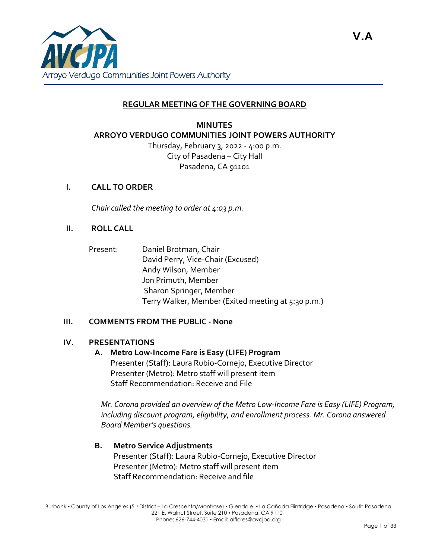

### **REGULAR MEETING OF THE GOVERNING BOARD**

# **MINUTES ARROYO VERDUGO COMMUNITIES JOINT POWERS AUTHORITY**

Thursday, February 3, 2022 - 4:00 p.m. City of Pasadena – City Hall Pasadena, CA 91101

### **I. CALL TO ORDER**

*Chair called the meeting to order at 4:03 p.m.*

#### **II. ROLL CALL**

- Present: Daniel Brotman, Chair
	- David Perry, Vice-Chair (Excused) Andy Wilson, Member Jon Primuth, Member Sharon Springer, Member Terry Walker, Member (Exited meeting at 5:30 p.m.)

#### **III. COMMENTS FROM THE PUBLIC - None**

#### **IV. PRESENTATIONS**

#### **A. Metro Low-Income Fare is Easy (LIFE) Program**

Presenter (Staff): Laura Rubio-Cornejo, Executive Director Presenter (Metro): Metro staff will present item Staff Recommendation: Receive and File

*Mr. Corona provided an overview of the Metro Low-Income Fare is Easy (LIFE) Program, including discount program, eligibility, and enrollment process. Mr. Corona answered Board Member's questions.*

#### **B. Metro Service Adjustments**

Presenter (Staff): Laura Rubio-Cornejo, Executive Director Presenter (Metro): Metro staff will present item Staff Recommendation: Receive and file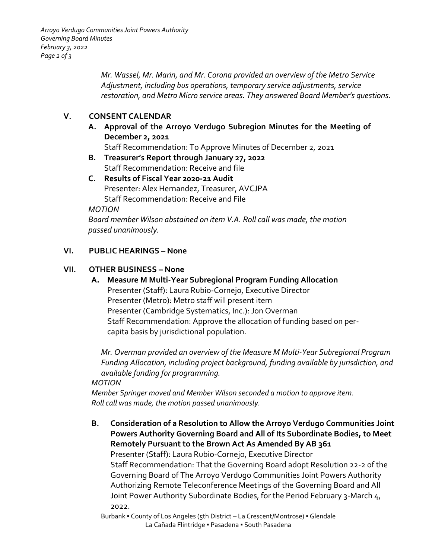*Mr. Wassel, Mr. Marin, and Mr. Corona provided an overview of the Metro Service Adjustment, including bus operations, temporary service adjustments, service restoration, and Metro Micro service areas. They answered Board Member's questions.*

## **V. CONSENT CALENDAR**

**A. Approval of the Arroyo Verdugo Subregion Minutes for the Meeting of December 2, 2021**

Staff Recommendation: To Approve Minutes of December 2, 2021

**B. Treasurer's Report through January 27, 2022** Staff Recommendation: Receive and file

### **C. Results of Fiscal Year 2020-21 Audit** Presenter: Alex Hernandez, Treasurer, AVCJPA Staff Recommendation: Receive and File

### *MOTION*

*Board member Wilson abstained on item V.A. Roll call was made, the motion passed unanimously.*

### **VI. PUBLIC HEARINGS – None**

### **VII. OTHER BUSINESS – None**

**A. Measure M Multi-Year Subregional Program Funding Allocation** Presenter (Staff): Laura Rubio-Cornejo, Executive Director Presenter (Metro): Metro staff will present item Presenter (Cambridge Systematics, Inc.): Jon Overman Staff Recommendation: Approve the allocation of funding based on percapita basis by jurisdictional population.

*Mr. Overman provided an overview of the Measure M Multi-Year Subregional Program Funding Allocation, including project background, funding available by jurisdiction, and available funding for programming.*

### *MOTION*

*Member Springer moved and Member Wilson seconded a motion to approve item. Roll call was made, the motion passed unanimously.*

**B. Consideration of a Resolution to Allow the Arroyo Verdugo Communities Joint Powers Authority Governing Board and All of Its Subordinate Bodies, to Meet Remotely Pursuant to the Brown Act As Amended By AB 361** Presenter (Staff): Laura Rubio-Cornejo, Executive Director Staff Recommendation: That the Governing Board adopt Resolution 22-2 of the Governing Board of The Arroyo Verdugo Communities Joint Powers Authority Authorizing Remote Teleconference Meetings of the Governing Board and All Joint Power Authority Subordinate Bodies, for the Period February 3-March 4, 2022.

Burbank • County of Los Angeles (5th District – La Crescent/Montrose) • Glendale La Cañada Flintridge · Pasadena · South Pasadena